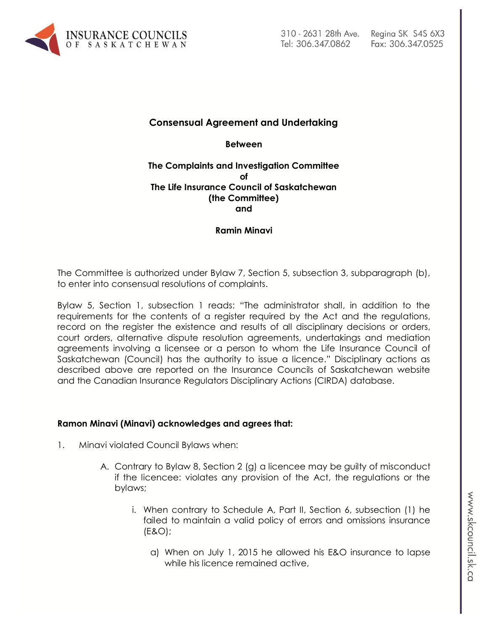

# **Consensual Agreement and Undertaking**

**Between**

#### **The Complaints and Investigation Committee of The Life Insurance Council of Saskatchewan (the Committee) and**

### **Ramin Minavi**

The Committee is authorized under Bylaw 7, Section 5, subsection 3, subparagraph (b), to enter into consensual resolutions of complaints.

Bylaw 5, Section 1, subsection 1 reads: "The administrator shall, in addition to the requirements for the contents of a register required by the Act and the regulations, record on the register the existence and results of all disciplinary decisions or orders, court orders, alternative dispute resolution agreements, undertakings and mediation agreements involving a licensee or a person to whom the Life Insurance Council of Saskatchewan (Council) has the authority to issue a licence." Disciplinary actions as described above are reported on the Insurance Councils of Saskatchewan website and the Canadian Insurance Regulators Disciplinary Actions (CIRDA) database.

### **Ramon Minavi (Minavi) acknowledges and agrees that:**

- 1. Minavi violated Council Bylaws when:
	- A. Contrary to Bylaw 8, Section 2 (g) a licencee may be guilty of misconduct if the licencee: violates any provision of the Act, the regulations or the bylaws;
		- i. When contrary to Schedule A, Part II, Section 6, subsection (1) he failed to maintain a valid policy of errors and omissions insurance (E&O);
			- a) When on July 1, 2015 he allowed his E&O insurance to lapse while his licence remained active,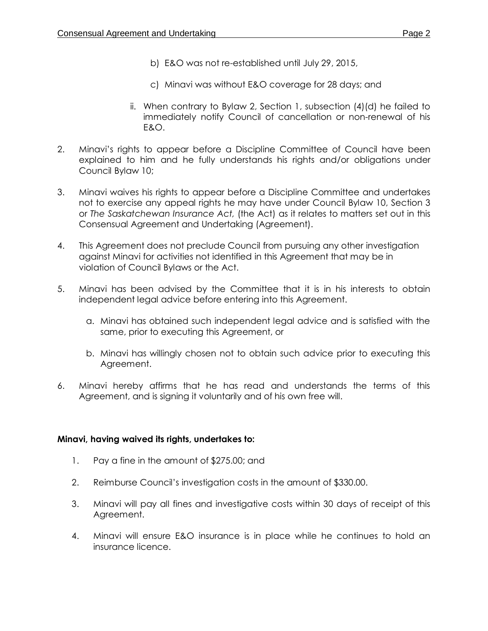- b) E&O was not re-established until July 29, 2015,
- c) Minavi was without E&O coverage for 28 days; and
- ii. When contrary to Bylaw 2, Section 1, subsection (4)(d) he failed to immediately notify Council of cancellation or non-renewal of his E&O.
- 2. Minavi's rights to appear before a Discipline Committee of Council have been explained to him and he fully understands his rights and/or obligations under Council Bylaw 10;
- 3. Minavi waives his rights to appear before a Discipline Committee and undertakes not to exercise any appeal rights he may have under Council Bylaw 10, Section 3 or *The Saskatchewan Insurance Act,* (the Act) as it relates to matters set out in this Consensual Agreement and Undertaking (Agreement).
- 4. This Agreement does not preclude Council from pursuing any other investigation against Minavi for activities not identified in this Agreement that may be in violation of Council Bylaws or the Act.
- 5. Minavi has been advised by the Committee that it is in his interests to obtain independent legal advice before entering into this Agreement.
	- a. Minavi has obtained such independent legal advice and is satisfied with the same, prior to executing this Agreement, or
	- b. Minavi has willingly chosen not to obtain such advice prior to executing this Agreement.
- 6. Minavi hereby affirms that he has read and understands the terms of this Agreement, and is signing it voluntarily and of his own free will.

### **Minavi, having waived its rights, undertakes to:**

- 1. Pay a fine in the amount of \$275.00; and
- 2. Reimburse Council's investigation costs in the amount of \$330.00.
- 3. Minavi will pay all fines and investigative costs within 30 days of receipt of this Agreement.
- 4. Minavi will ensure E&O insurance is in place while he continues to hold an insurance licence.